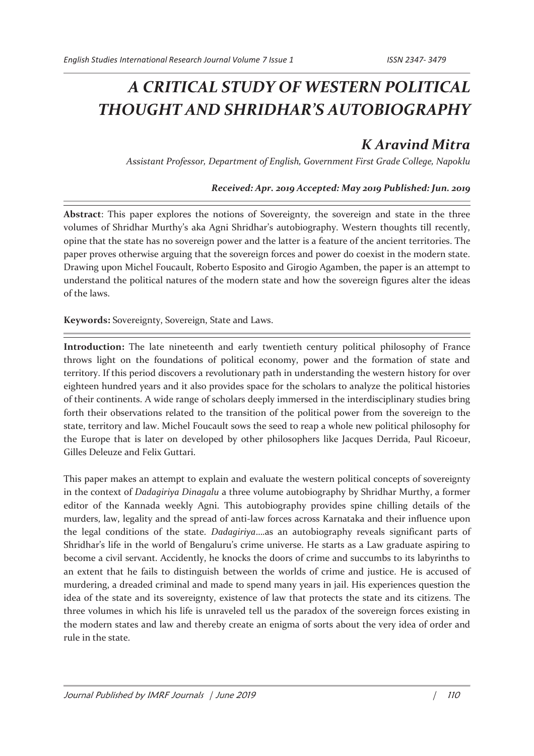## *A CRITICAL STUDY OF WESTERN POLITICAL THOUGHT AND SHRIDHAR'S AUTOBIOGRAPHY*

## *K Aravind Mitra*

*Assistant Professor, Department of English, Government First Grade College, Napoklu* 

## *Received: Apr. 2019 Accepted: May 2019 Published: Jun. 2019*

**Abstract**: This paper explores the notions of Sovereignty, the sovereign and state in the three volumes of Shridhar Murthy's aka Agni Shridhar's autobiography. Western thoughts till recently, opine that the state has no sovereign power and the latter is a feature of the ancient territories. The paper proves otherwise arguing that the sovereign forces and power do coexist in the modern state. Drawing upon Michel Foucault, Roberto Esposito and Girogio Agamben, the paper is an attempt to understand the political natures of the modern state and how the sovereign figures alter the ideas of the laws.

**Keywords:** Sovereignty, Sovereign, State and Laws.

**Introduction:** The late nineteenth and early twentieth century political philosophy of France throws light on the foundations of political economy, power and the formation of state and territory. If this period discovers a revolutionary path in understanding the western history for over eighteen hundred years and it also provides space for the scholars to analyze the political histories of their continents. A wide range of scholars deeply immersed in the interdisciplinary studies bring forth their observations related to the transition of the political power from the sovereign to the state, territory and law. Michel Foucault sows the seed to reap a whole new political philosophy for the Europe that is later on developed by other philosophers like Jacques Derrida, Paul Ricoeur, Gilles Deleuze and Felix Guttari.

This paper makes an attempt to explain and evaluate the western political concepts of sovereignty in the context of *Dadagiriya Dinagalu* a three volume autobiography by Shridhar Murthy, a former editor of the Kannada weekly Agni. This autobiography provides spine chilling details of the murders, law, legality and the spread of anti-law forces across Karnataka and their influence upon the legal conditions of the state. *Dadagiriya*….as an autobiography reveals significant parts of Shridhar's life in the world of Bengaluru's crime universe. He starts as a Law graduate aspiring to become a civil servant. Accidently, he knocks the doors of crime and succumbs to its labyrinths to an extent that he fails to distinguish between the worlds of crime and justice. He is accused of murdering, a dreaded criminal and made to spend many years in jail. His experiences question the idea of the state and its sovereignty, existence of law that protects the state and its citizens. The three volumes in which his life is unraveled tell us the paradox of the sovereign forces existing in the modern states and law and thereby create an enigma of sorts about the very idea of order and rule in the state.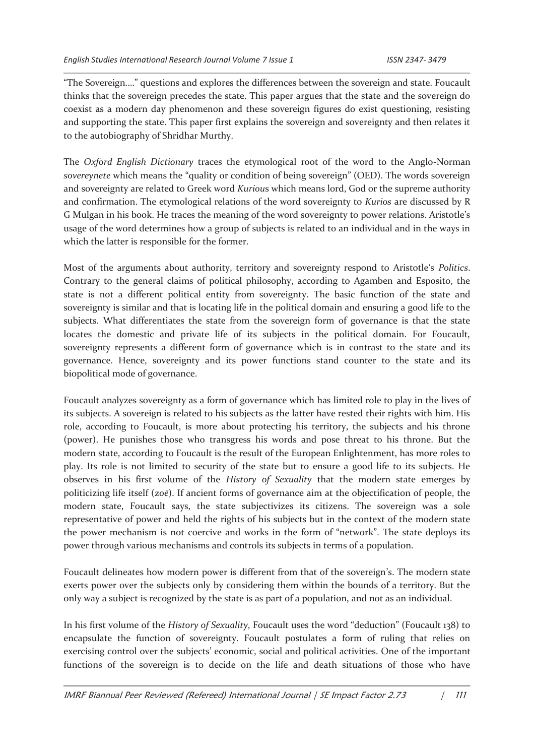"The Sovereign.…" questions and explores the differences between the sovereign and state. Foucault thinks that the sovereign precedes the state. This paper argues that the state and the sovereign do coexist as a modern day phenomenon and these sovereign figures do exist questioning, resisting and supporting the state. This paper first explains the sovereign and sovereignty and then relates it to the autobiography of Shridhar Murthy.

The *Oxford English Dictionary* traces the etymological root of the word to the Anglo-Norman *sovereynete* which means the "quality or condition of being sovereign" (OED). The words sovereign and sovereignty are related to Greek word *Kuriou*s which means lord, God or the supreme authority and confirmation. The etymological relations of the word sovereignty to *Kurios* are discussed by R G Mulgan in his book. He traces the meaning of the word sovereignty to power relations. Aristotle's usage of the word determines how a group of subjects is related to an individual and in the ways in which the latter is responsible for the former.

Most of the arguments about authority, territory and sovereignty respond to Aristotle's *Politics*. Contrary to the general claims of political philosophy, according to Agamben and Esposito, the state is not a different political entity from sovereignty. The basic function of the state and sovereignty is similar and that is locating life in the political domain and ensuring a good life to the subjects. What differentiates the state from the sovereign form of governance is that the state locates the domestic and private life of its subjects in the political domain. For Foucault, sovereignty represents a different form of governance which is in contrast to the state and its governance. Hence, sovereignty and its power functions stand counter to the state and its biopolitical mode of governance.

Foucault analyzes sovereignty as a form of governance which has limited role to play in the lives of its subjects. A sovereign is related to his subjects as the latter have rested their rights with him. His role, according to Foucault, is more about protecting his territory, the subjects and his throne (power). He punishes those who transgress his words and pose threat to his throne. But the modern state, according to Foucault is the result of the European Enlightenment, has more roles to play. Its role is not limited to security of the state but to ensure a good life to its subjects. He observes in his first volume of the *History of Sexuality* that the modern state emerges by politicizing life itself (*zoē*). If ancient forms of governance aim at the objectification of people, the modern state, Foucault says, the state subjectivizes its citizens. The sovereign was a sole representative of power and held the rights of his subjects but in the context of the modern state the power mechanism is not coercive and works in the form of "network". The state deploys its power through various mechanisms and controls its subjects in terms of a population.

Foucault delineates how modern power is different from that of the sovereign's. The modern state exerts power over the subjects only by considering them within the bounds of a territory. But the only way a subject is recognized by the state is as part of a population, and not as an individual.

In his first volume of the *History of Sexuality*, Foucault uses the word "deduction" (Foucault 138) to encapsulate the function of sovereignty. Foucault postulates a form of ruling that relies on exercising control over the subjects' economic, social and political activities. One of the important functions of the sovereign is to decide on the life and death situations of those who have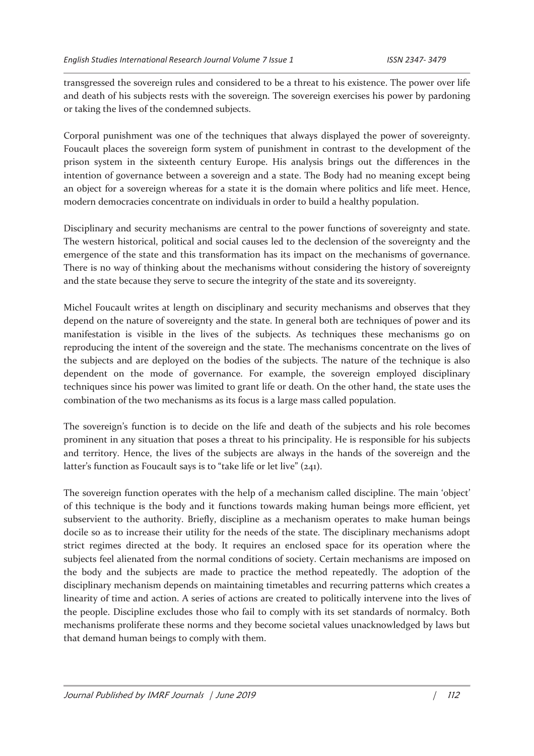transgressed the sovereign rules and considered to be a threat to his existence. The power over life and death of his subjects rests with the sovereign. The sovereign exercises his power by pardoning or taking the lives of the condemned subjects.

Corporal punishment was one of the techniques that always displayed the power of sovereignty. Foucault places the sovereign form system of punishment in contrast to the development of the prison system in the sixteenth century Europe. His analysis brings out the differences in the intention of governance between a sovereign and a state. The Body had no meaning except being an object for a sovereign whereas for a state it is the domain where politics and life meet. Hence, modern democracies concentrate on individuals in order to build a healthy population.

Disciplinary and security mechanisms are central to the power functions of sovereignty and state. The western historical, political and social causes led to the declension of the sovereignty and the emergence of the state and this transformation has its impact on the mechanisms of governance. There is no way of thinking about the mechanisms without considering the history of sovereignty and the state because they serve to secure the integrity of the state and its sovereignty.

Michel Foucault writes at length on disciplinary and security mechanisms and observes that they depend on the nature of sovereignty and the state. In general both are techniques of power and its manifestation is visible in the lives of the subjects. As techniques these mechanisms go on reproducing the intent of the sovereign and the state. The mechanisms concentrate on the lives of the subjects and are deployed on the bodies of the subjects. The nature of the technique is also dependent on the mode of governance. For example, the sovereign employed disciplinary techniques since his power was limited to grant life or death. On the other hand, the state uses the combination of the two mechanisms as its focus is a large mass called population.

The sovereign's function is to decide on the life and death of the subjects and his role becomes prominent in any situation that poses a threat to his principality. He is responsible for his subjects and territory. Hence, the lives of the subjects are always in the hands of the sovereign and the latter's function as Foucault says is to "take life or let live" (241).

The sovereign function operates with the help of a mechanism called discipline. The main 'object' of this technique is the body and it functions towards making human beings more efficient, yet subservient to the authority. Briefly, discipline as a mechanism operates to make human beings docile so as to increase their utility for the needs of the state. The disciplinary mechanisms adopt strict regimes directed at the body. It requires an enclosed space for its operation where the subjects feel alienated from the normal conditions of society. Certain mechanisms are imposed on the body and the subjects are made to practice the method repeatedly. The adoption of the disciplinary mechanism depends on maintaining timetables and recurring patterns which creates a linearity of time and action. A series of actions are created to politically intervene into the lives of the people. Discipline excludes those who fail to comply with its set standards of normalcy. Both mechanisms proliferate these norms and they become societal values unacknowledged by laws but that demand human beings to comply with them.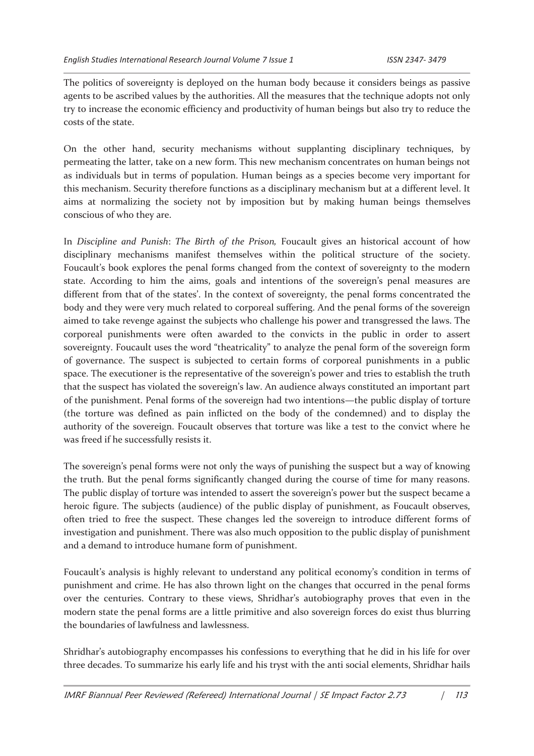The politics of sovereignty is deployed on the human body because it considers beings as passive agents to be ascribed values by the authorities. All the measures that the technique adopts not only try to increase the economic efficiency and productivity of human beings but also try to reduce the costs of the state.

On the other hand, security mechanisms without supplanting disciplinary techniques, by permeating the latter, take on a new form. This new mechanism concentrates on human beings not as individuals but in terms of population. Human beings as a species become very important for this mechanism. Security therefore functions as a disciplinary mechanism but at a different level. It aims at normalizing the society not by imposition but by making human beings themselves conscious of who they are.

In *Discipline and Punish*: *The Birth of the Prison,* Foucault gives an historical account of how disciplinary mechanisms manifest themselves within the political structure of the society. Foucault's book explores the penal forms changed from the context of sovereignty to the modern state. According to him the aims, goals and intentions of the sovereign's penal measures are different from that of the states'. In the context of sovereignty, the penal forms concentrated the body and they were very much related to corporeal suffering. And the penal forms of the sovereign aimed to take revenge against the subjects who challenge his power and transgressed the laws. The corporeal punishments were often awarded to the convicts in the public in order to assert sovereignty. Foucault uses the word "theatricality" to analyze the penal form of the sovereign form of governance. The suspect is subjected to certain forms of corporeal punishments in a public space. The executioner is the representative of the sovereign's power and tries to establish the truth that the suspect has violated the sovereign's law. An audience always constituted an important part of the punishment. Penal forms of the sovereign had two intentions—the public display of torture (the torture was defined as pain inflicted on the body of the condemned) and to display the authority of the sovereign. Foucault observes that torture was like a test to the convict where he was freed if he successfully resists it.

The sovereign's penal forms were not only the ways of punishing the suspect but a way of knowing the truth. But the penal forms significantly changed during the course of time for many reasons. The public display of torture was intended to assert the sovereign's power but the suspect became a heroic figure. The subjects (audience) of the public display of punishment, as Foucault observes, often tried to free the suspect. These changes led the sovereign to introduce different forms of investigation and punishment. There was also much opposition to the public display of punishment and a demand to introduce humane form of punishment.

Foucault's analysis is highly relevant to understand any political economy's condition in terms of punishment and crime. He has also thrown light on the changes that occurred in the penal forms over the centuries. Contrary to these views, Shridhar's autobiography proves that even in the modern state the penal forms are a little primitive and also sovereign forces do exist thus blurring the boundaries of lawfulness and lawlessness.

Shridhar's autobiography encompasses his confessions to everything that he did in his life for over three decades. To summarize his early life and his tryst with the anti social elements, Shridhar hails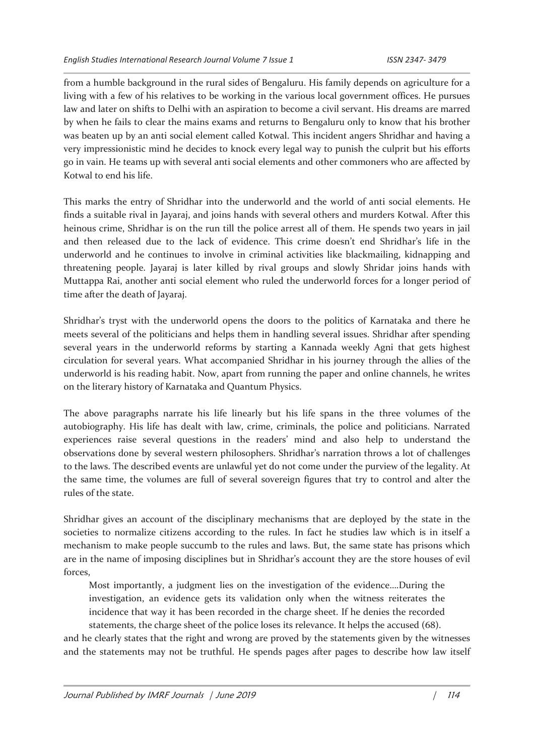from a humble background in the rural sides of Bengaluru. His family depends on agriculture for a living with a few of his relatives to be working in the various local government offices. He pursues law and later on shifts to Delhi with an aspiration to become a civil servant. His dreams are marred by when he fails to clear the mains exams and returns to Bengaluru only to know that his brother was beaten up by an anti social element called Kotwal. This incident angers Shridhar and having a very impressionistic mind he decides to knock every legal way to punish the culprit but his efforts go in vain. He teams up with several anti social elements and other commoners who are affected by Kotwal to end his life.

This marks the entry of Shridhar into the underworld and the world of anti social elements. He finds a suitable rival in Jayaraj, and joins hands with several others and murders Kotwal. After this heinous crime, Shridhar is on the run till the police arrest all of them. He spends two years in jail and then released due to the lack of evidence. This crime doesn't end Shridhar's life in the underworld and he continues to involve in criminal activities like blackmailing, kidnapping and threatening people. Jayaraj is later killed by rival groups and slowly Shridar joins hands with Muttappa Rai, another anti social element who ruled the underworld forces for a longer period of time after the death of Jayaraj.

Shridhar's tryst with the underworld opens the doors to the politics of Karnataka and there he meets several of the politicians and helps them in handling several issues. Shridhar after spending several years in the underworld reforms by starting a Kannada weekly Agni that gets highest circulation for several years. What accompanied Shridhar in his journey through the allies of the underworld is his reading habit. Now, apart from running the paper and online channels, he writes on the literary history of Karnataka and Quantum Physics.

The above paragraphs narrate his life linearly but his life spans in the three volumes of the autobiography. His life has dealt with law, crime, criminals, the police and politicians. Narrated experiences raise several questions in the readers' mind and also help to understand the observations done by several western philosophers. Shridhar's narration throws a lot of challenges to the laws. The described events are unlawful yet do not come under the purview of the legality. At the same time, the volumes are full of several sovereign figures that try to control and alter the rules of the state.

Shridhar gives an account of the disciplinary mechanisms that are deployed by the state in the societies to normalize citizens according to the rules. In fact he studies law which is in itself a mechanism to make people succumb to the rules and laws. But, the same state has prisons which are in the name of imposing disciplines but in Shridhar's account they are the store houses of evil forces,

Most importantly, a judgment lies on the investigation of the evidence….During the investigation, an evidence gets its validation only when the witness reiterates the incidence that way it has been recorded in the charge sheet. If he denies the recorded statements, the charge sheet of the police loses its relevance. It helps the accused (68).

and he clearly states that the right and wrong are proved by the statements given by the witnesses and the statements may not be truthful. He spends pages after pages to describe how law itself